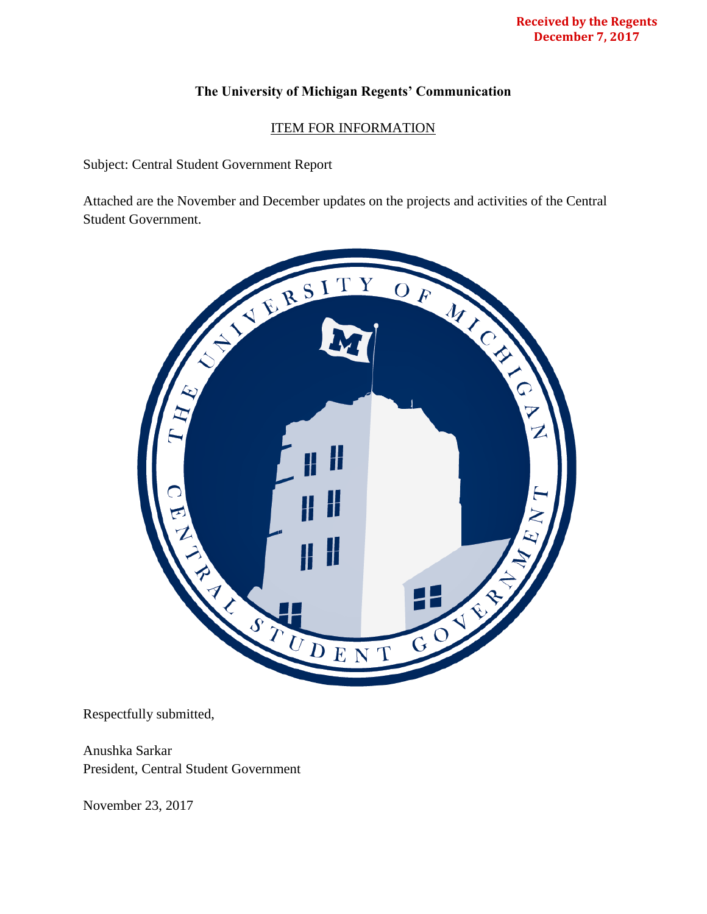## **The University of Michigan Regents' Communication**

## ITEM FOR INFORMATION

Subject: Central Student Government Report

Attached are the November and December updates on the projects and activities of the Central Student Government.



Respectfully submitted,

Anushka Sarkar President, Central Student Government

November 23, 2017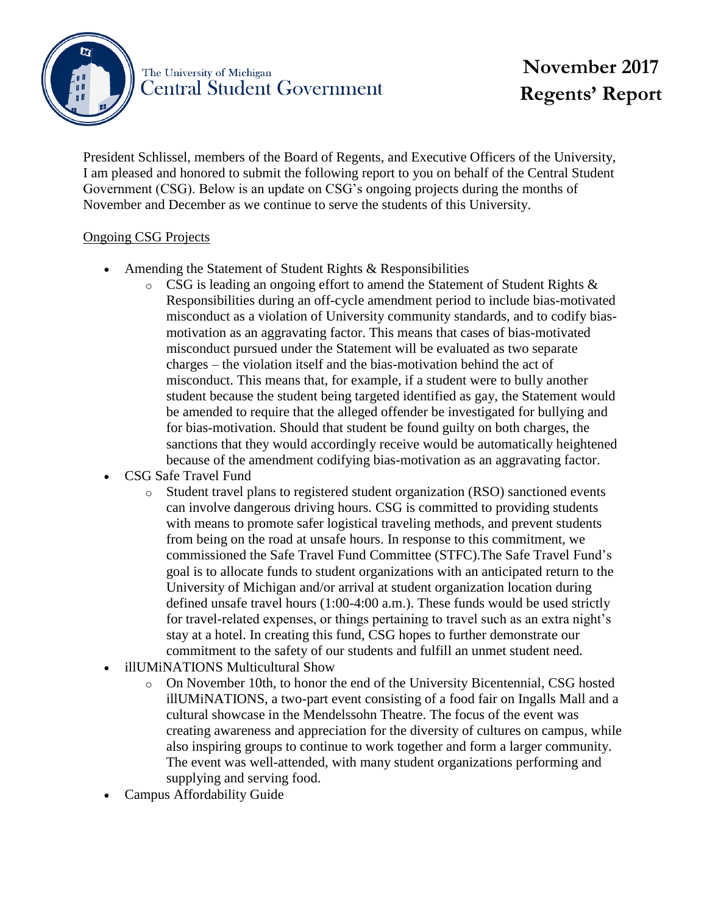

## **November 2017 Regents' Report**

President Schlissel, members of the Board of Regents, and Executive Officers of the University, I am pleased and honored to submit the following report to you on behalf of the Central Student Government (CSG). Below is an update on CSG's ongoing projects during the months of November and December as we continue to serve the students of this University.

## Ongoing CSG Projects

- Amending the Statement of Student Rights & Responsibilities
	- o CSG is leading an ongoing effort to amend the Statement of Student Rights & Responsibilities during an off-cycle amendment period to include bias-motivated misconduct as a violation of University community standards, and to codify biasmotivation as an aggravating factor. This means that cases of bias-motivated misconduct pursued under the Statement will be evaluated as two separate charges – the violation itself and the bias-motivation behind the act of misconduct. This means that, for example, if a student were to bully another student because the student being targeted identified as gay, the Statement would be amended to require that the alleged offender be investigated for bullying and for bias-motivation. Should that student be found guilty on both charges, the sanctions that they would accordingly receive would be automatically heightened because of the amendment codifying bias-motivation as an aggravating factor.
- CSG Safe Travel Fund
	- o Student travel plans to registered student organization (RSO) sanctioned events can involve dangerous driving hours. CSG is committed to providing students with means to promote safer logistical traveling methods, and prevent students from being on the road at unsafe hours. In response to this commitment, we commissioned the Safe Travel Fund Committee (STFC).The Safe Travel Fund's goal is to allocate funds to student organizations with an anticipated return to the University of Michigan and/or arrival at student organization location during defined unsafe travel hours (1:00-4:00 a.m.). These funds would be used strictly for travel-related expenses, or things pertaining to travel such as an extra night's stay at a hotel. In creating this fund, CSG hopes to further demonstrate our commitment to the safety of our students and fulfill an unmet student need.
- illUMiNATIONS Multicultural Show
	- o On November 10th, to honor the end of the University Bicentennial, CSG hosted illUMiNATIONS, a two-part event consisting of a food fair on Ingalls Mall and a cultural showcase in the Mendelssohn Theatre. The focus of the event was creating awareness and appreciation for the diversity of cultures on campus, while also inspiring groups to continue to work together and form a larger community. The event was well-attended, with many student organizations performing and supplying and serving food.
- Campus Affordability Guide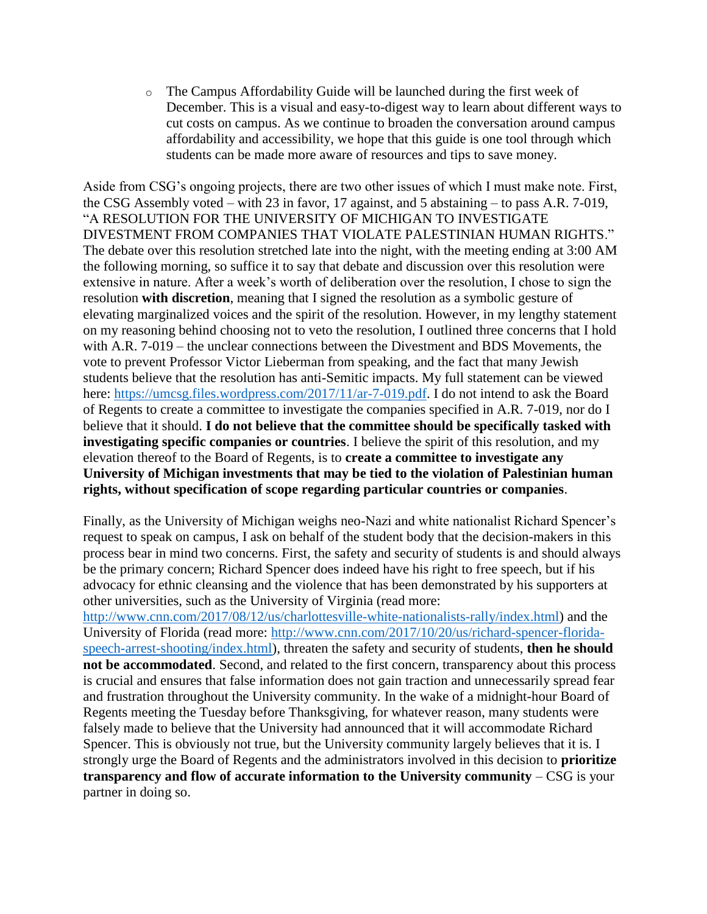$\circ$  The Campus Affordability Guide will be launched during the first week of December. This is a visual and easy-to-digest way to learn about different ways to cut costs on campus. As we continue to broaden the conversation around campus affordability and accessibility, we hope that this guide is one tool through which students can be made more aware of resources and tips to save money.

Aside from CSG's ongoing projects, there are two other issues of which I must make note. First, the CSG Assembly voted – with 23 in favor, 17 against, and 5 abstaining – to pass A.R. 7-019, "A RESOLUTION FOR THE UNIVERSITY OF MICHIGAN TO INVESTIGATE DIVESTMENT FROM COMPANIES THAT VIOLATE PALESTINIAN HUMAN RIGHTS." The debate over this resolution stretched late into the night, with the meeting ending at 3:00 AM the following morning, so suffice it to say that debate and discussion over this resolution were extensive in nature. After a week's worth of deliberation over the resolution, I chose to sign the resolution **with discretion**, meaning that I signed the resolution as a symbolic gesture of elevating marginalized voices and the spirit of the resolution. However, in my lengthy statement on my reasoning behind choosing not to veto the resolution, I outlined three concerns that I hold with A.R. 7-019 – the unclear connections between the Divestment and BDS Movements, the vote to prevent Professor Victor Lieberman from speaking, and the fact that many Jewish students believe that the resolution has anti-Semitic impacts. My full statement can be viewed here: [https://umcsg.files.wordpress.com/2017/11/ar-7-019.pdf.](https://umcsg.files.wordpress.com/2017/11/ar-7-019.pdf) I do not intend to ask the Board of Regents to create a committee to investigate the companies specified in A.R. 7-019, nor do I believe that it should. **I do not believe that the committee should be specifically tasked with investigating specific companies or countries**. I believe the spirit of this resolution, and my elevation thereof to the Board of Regents, is to **create a committee to investigate any University of Michigan investments that may be tied to the violation of Palestinian human rights, without specification of scope regarding particular countries or companies**.

Finally, as the University of Michigan weighs neo-Nazi and white nationalist Richard Spencer's request to speak on campus, I ask on behalf of the student body that the decision-makers in this process bear in mind two concerns. First, the safety and security of students is and should always be the primary concern; Richard Spencer does indeed have his right to free speech, but if his advocacy for ethnic cleansing and the violence that has been demonstrated by his supporters at other universities, such as the University of Virginia (read more:

[http://www.cnn.com/2017/08/12/us/charlottesville-white-nationalists-rally/index.html\)](http://www.cnn.com/2017/08/12/us/charlottesville-white-nationalists-rally/index.html) and the University of Florida (read more: [http://www.cnn.com/2017/10/20/us/richard-spencer-florida](http://www.cnn.com/2017/10/20/us/richard-spencer-florida-speech-arrest-shooting/index.html)[speech-arrest-shooting/index.html\)](http://www.cnn.com/2017/10/20/us/richard-spencer-florida-speech-arrest-shooting/index.html), threaten the safety and security of students, **then he should not be accommodated**. Second, and related to the first concern, transparency about this process is crucial and ensures that false information does not gain traction and unnecessarily spread fear and frustration throughout the University community. In the wake of a midnight-hour Board of Regents meeting the Tuesday before Thanksgiving, for whatever reason, many students were falsely made to believe that the University had announced that it will accommodate Richard Spencer. This is obviously not true, but the University community largely believes that it is. I strongly urge the Board of Regents and the administrators involved in this decision to **prioritize transparency and flow of accurate information to the University community** – CSG is your partner in doing so.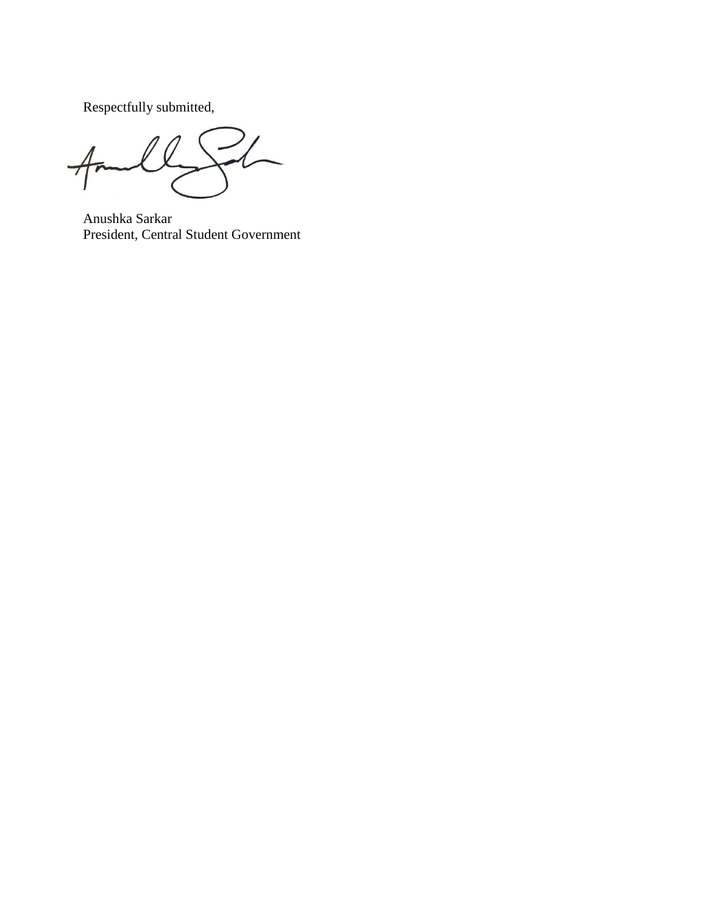Respectfully submitted,

 $4m$  $\overline{\phantom{a}}$ 

Anushka Sarkar President, Central Student Government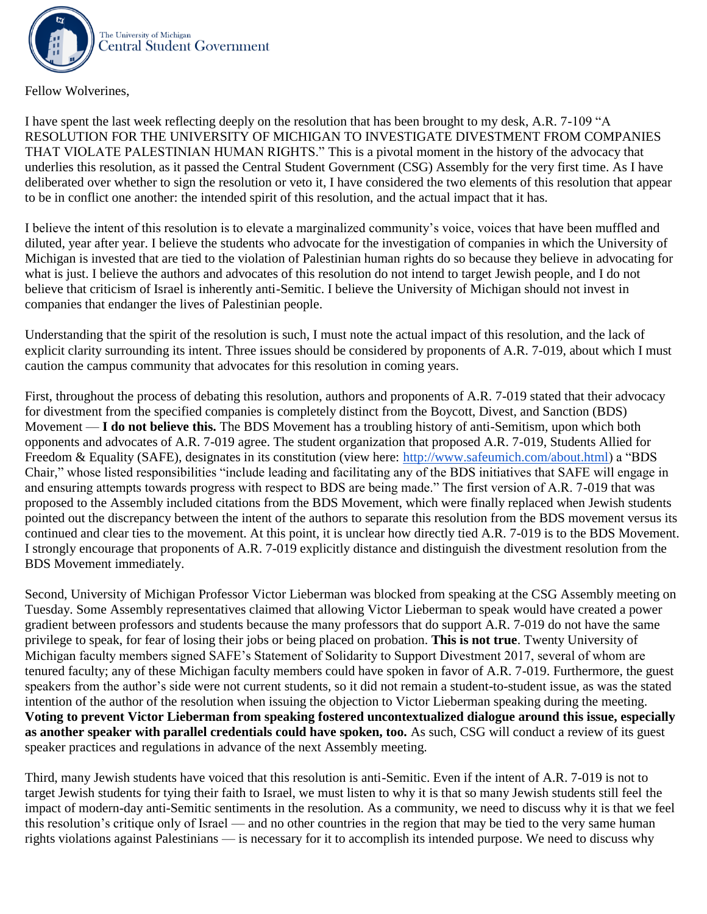

Fellow Wolverines,

I have spent the last week reflecting deeply on the resolution that has been brought to my desk, A.R. 7-109 "A RESOLUTION FOR THE UNIVERSITY OF MICHIGAN TO INVESTIGATE DIVESTMENT FROM COMPANIES THAT VIOLATE PALESTINIAN HUMAN RIGHTS." This is a pivotal moment in the history of the advocacy that underlies this resolution, as it passed the Central Student Government (CSG) Assembly for the very first time. As I have deliberated over whether to sign the resolution or veto it, I have considered the two elements of this resolution that appear to be in conflict one another: the intended spirit of this resolution, and the actual impact that it has.

I believe the intent of this resolution is to elevate a marginalized community's voice, voices that have been muffled and diluted, year after year. I believe the students who advocate for the investigation of companies in which the University of Michigan is invested that are tied to the violation of Palestinian human rights do so because they believe in advocating for what is just. I believe the authors and advocates of this resolution do not intend to target Jewish people, and I do not believe that criticism of Israel is inherently anti-Semitic. I believe the University of Michigan should not invest in companies that endanger the lives of Palestinian people.

Understanding that the spirit of the resolution is such, I must note the actual impact of this resolution, and the lack of explicit clarity surrounding its intent. Three issues should be considered by proponents of A.R. 7-019, about which I must caution the campus community that advocates for this resolution in coming years.

First, throughout the process of debating this resolution, authors and proponents of A.R. 7-019 stated that their advocacy for divestment from the specified companies is completely distinct from the Boycott, Divest, and Sanction (BDS) Movement — **I do not believe this.** The BDS Movement has a troubling history of anti-Semitism, upon which both opponents and advocates of A.R. 7-019 agree. The student organization that proposed A.R. 7-019, Students Allied for Freedom & Equality (SAFE), designates in its constitution (view here: [http://www.safeumich.com/about.html\)](http://www.safeumich.com/about.html) a "BDS Chair," whose listed responsibilities "include leading and facilitating any of the BDS initiatives that SAFE will engage in and ensuring attempts towards progress with respect to BDS are being made." The first version of A.R. 7-019 that was proposed to the Assembly included citations from the BDS Movement, which were finally replaced when Jewish students pointed out the discrepancy between the intent of the authors to separate this resolution from the BDS movement versus its continued and clear ties to the movement. At this point, it is unclear how directly tied A.R. 7-019 is to the BDS Movement. I strongly encourage that proponents of A.R. 7-019 explicitly distance and distinguish the divestment resolution from the BDS Movement immediately.

Second, University of Michigan Professor Victor Lieberman was blocked from speaking at the CSG Assembly meeting on Tuesday. Some Assembly representatives claimed that allowing Victor Lieberman to speak would have created a power gradient between professors and students because the many professors that do support A.R. 7-019 do not have the same privilege to speak, for fear of losing their jobs or being placed on probation. **This is not true**. Twenty University of Michigan faculty members signed SAFE's Statement of Solidarity to Support Divestment 2017, several of whom are tenured faculty; any of these Michigan faculty members could have spoken in favor of A.R. 7-019. Furthermore, the guest speakers from the author's side were not current students, so it did not remain a student-to-student issue, as was the stated intention of the author of the resolution when issuing the objection to Victor Lieberman speaking during the meeting. **Voting to prevent Victor Lieberman from speaking fostered uncontextualized dialogue around this issue, especially as another speaker with parallel credentials could have spoken, too.** As such, CSG will conduct a review of its guest speaker practices and regulations in advance of the next Assembly meeting.

Third, many Jewish students have voiced that this resolution is anti-Semitic. Even if the intent of A.R. 7-019 is not to target Jewish students for tying their faith to Israel, we must listen to why it is that so many Jewish students still feel the impact of modern-day anti-Semitic sentiments in the resolution. As a community, we need to discuss why it is that we feel this resolution's critique only of Israel — and no other countries in the region that may be tied to the very same human rights violations against Palestinians — is necessary for it to accomplish its intended purpose. We need to discuss why